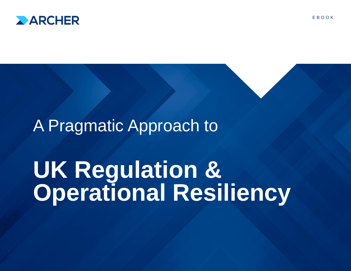

## A Pragmatic Approach to

# **UK Regulation & Operational Resiliency**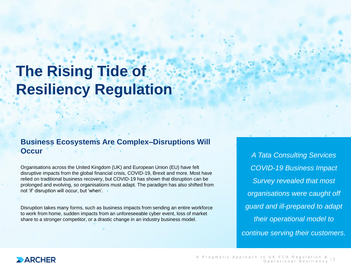## **The Rising Tide of Resiliency Regulation**

#### **Business Ecosystems Are Complex–Disruptions Will Occur**

Organisations across the United Kingdom (UK) and European Union (EU) have felt disruptive impacts from the global financial crisis, COVID-19, Brexit and more. Most have relied on traditional business recovery, but COVID-19 has shown that disruption can be prolonged and evolving, so organisations must adapt. The paradigm has also shifted from not 'if' disruption will occur, but 'when'.

Disruption takes many forms, such as business impacts from sending an entire workforce to work from home, sudden impacts from an unforeseeable cyber event, loss of market share to a stronger competitor, or a drastic change in an industry business model.

*A Tata Consulting Services COVID-19 Business Impact Survey revealed that most organisations were caught off guard and ill-prepared to adapt their operational model to continue serving their customers.*

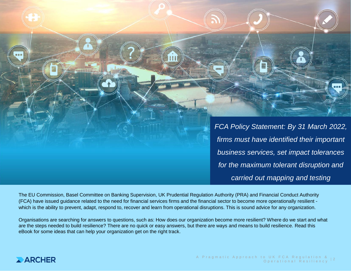*FCA Policy Statement: By 31 March 2022, firms must have identified their important business services, set impact tolerances for the maximum tolerant disruption and carried out mapping and testing*

The EU Commission, Basel Committee on Banking Supervision, UK Prudential Regulation Authority (PRA) and Financial Conduct Authority (FCA) have issued guidance related to the need for financial services firms and the financial sector to become more operationally resilient which is the ability to prevent, adapt, respond to, recover and learn from operational disruptions. This is sound advice for any organization.

Organisations are searching for answers to questions, such as: How does our organization become more resilient? Where do we start and what are the steps needed to build resilience? There are no quick or easy answers, but there are ways and means to build resilience. Read this eBook for some ideas that can help your organization get on the right track.

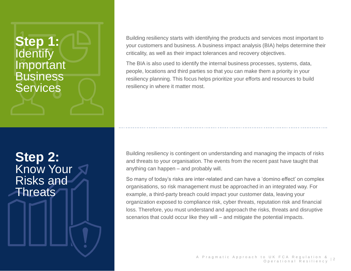### **Step 1: Identify** Important **Business Services**

**Step 2:** Know Your Risks and Threats

 $4.2 < \alpha$  Security LLC or its affiliates. All rights reserved. All rights reserved. All rights reserved.

Building resiliency starts with identifying the products and services most important to your customers and business. A business impact analysis (BIA) helps determine their criticality, as well as their impact tolerances and recovery objectives.

The BIA is also used to identify the internal business processes, systems, data, people, locations and third parties so that you can make them a priority in your resiliency planning. This focus helps prioritize your efforts and resources to build resiliency in where it matter most.

Building resiliency is contingent on understanding and managing the impacts of risks and threats to your organisation. The events from the recent past have taught that anything can happen – and probably will.

So many of today's risks are inter-related and can have a 'domino effect' on complex organisations, so risk management must be approached in an integrated way. For example, a third-party breach could impact your customer data, leaving your organization exposed to compliance risk, cyber threats, reputation risk and financial loss. Therefore, you must understand and approach the risks, threats and disruptive scenarios that could occur like they will – and mitigate the potential impacts.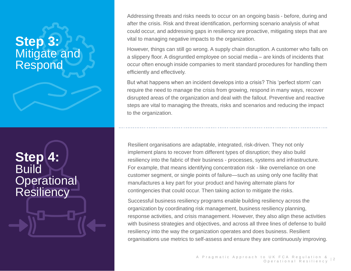### **Step 3:** Mitigate and Respond

**Step 4: Build Operational Resiliency** 

5 ©2021 RSA Security LLC or its affiliates. All rights reserved.

Addressing threats and risks needs to occur on an ongoing basis - before, during and after the crisis. Risk and threat identification, performing scenario analysis of what could occur, and addressing gaps in resiliency are proactive, mitigating steps that are vital to managing negative impacts to the organization.

However, things can still go wrong. A supply chain disruption. A customer who falls on a slippery floor. A disgruntled employee on social media – are kinds of incidents that occur often enough inside companies to merit standard procedures for handling them efficiently and effectively.

But what happens when an incident develops into a crisis? This 'perfect storm' can require the need to manage the crisis from growing, respond in many ways, recover disrupted areas of the organization and deal with the fallout. Preventive and reactive steps are vital to managing the threats, risks and scenarios and reducing the impact to the organization.

Resilient organisations are adaptable, integrated, risk-driven. They not only implement plans to recover from different types of disruption; they also build resiliency into the fabric of their business - processes, systems and infrastructure. For example, that means identifying concentration risk - like overreliance on one customer segment, or single points of failure—such as using only one facility that manufactures a key part for your product and having alternate plans for contingencies that could occur. Then taking action to mitigate the risks.

Successful business resiliency programs enable building resiliency across the organization by coordinating risk management, business resiliency planning, response activities, and crisis management. However, they also align these activities with business strategies and objectives, and across all three lines of defense to build resiliency into the way the organization operates and does business. Resilient organisations use metrics to self-assess and ensure they are continuously improving.